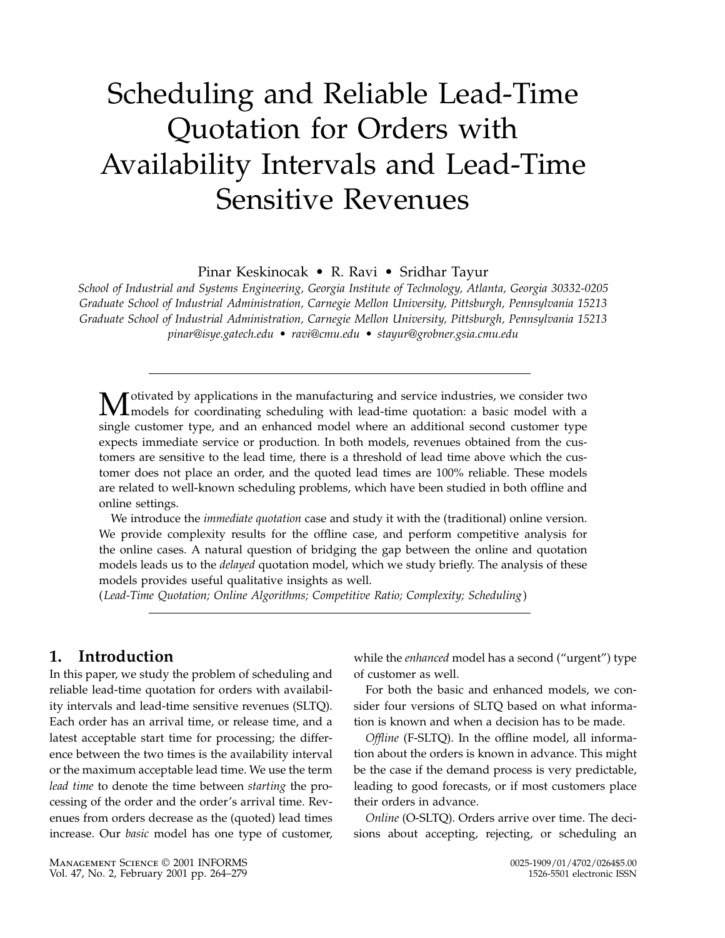# Scheduling and Reliable Lead-Time Quotation for Orders with Availability Intervals and Lead-Time Sensitive Revenues

Pinar Keskinocak • R. Ravi • Sridhar Tayur

School of Industrial and Systems Engineering, Georgia Institute of Technology, Atlanta, Georgia 30332-0205 Graduate School of Industrial Administration, Carnegie Mellon University, Pittsburgh, Pennsylvania 15213 Graduate School of Industrial Administration, Carnegie Mellon University, Pittsburgh, Pennsylvania 15213 pinar@isye.gatech.edu • ravi@cmu.edu • stayur@grobner.gsia.cmu.edu

**M**otivated by applications in the manufacturing and service industries, we consider two models for coordinating scheduling with lead-time quotation: a basic model with a single customer type, and an enhanced model where an additional second customer type expects immediate service or production. In both models, revenues obtained from the customers are sensitive to the lead time, there is a threshold of lead time above which the customer does not place an order, and the quoted lead times are 100% reliable. These models are related to well-known scheduling problems, which have been studied in both offline and online settings.

We introduce the *immediate quotation* case and study it with the (traditional) online version. We provide complexity results for the offline case, and perform competitive analysis for the online cases. A natural question of bridging the gap between the online and quotation models leads us to the *delayed* quotation model, which we study briefly. The analysis of these models provides useful qualitative insights as well.

(Lead-Time Quotation; Online Algorithms; Competitive Ratio; Complexity; Scheduling)

## 1. Introduction

In this paper, we study the problem of scheduling and reliable lead-time quotation for orders with availability intervals and lead-time sensitive revenues (SLTQ). Each order has an arrival time, or release time, and a latest acceptable start time for processing; the difference between the two times is the availability interval or the maximum acceptable lead time. We use the term lead time to denote the time between starting the processing of the order and the order's arrival time. Revenues from orders decrease as the (quoted) lead times increase. Our basic model has one type of customer, while the enhanced model has a second ("urgent") type of customer as well.

For both the basic and enhanced models, we consider four versions of SLTQ based on what information is known and when a decision has to be made.

Offline (F-SLTQ). In the offline model, all information about the orders is known in advance. This might be the case if the demand process is very predictable, leading to good forecasts, or if most customers place their orders in advance.

Online (O-SLTQ). Orders arrive over time. The decisions about accepting, rejecting, or scheduling an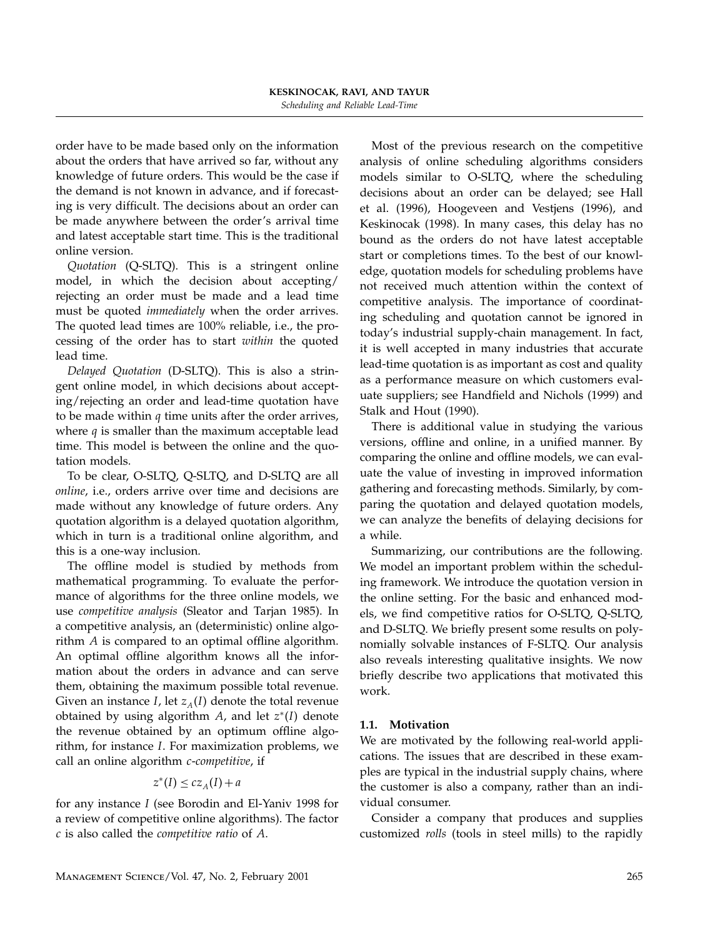order have to be made based only on the information about the orders that have arrived so far, without any knowledge of future orders. This would be the case if the demand is not known in advance, and if forecasting is very difficult. The decisions about an order can be made anywhere between the order's arrival time and latest acceptable start time. This is the traditional online version.

Quotation (Q-SLTQ). This is a stringent online model, in which the decision about accepting/ rejecting an order must be made and a lead time must be quoted immediately when the order arrives. The quoted lead times are 100% reliable, i.e., the processing of the order has to start within the quoted lead time.

Delayed Quotation (D-SLTQ). This is also a stringent online model, in which decisions about accepting/rejecting an order and lead-time quotation have to be made within  $q$  time units after the order arrives, where  $q$  is smaller than the maximum acceptable lead time. This model is between the online and the quotation models.

To be clear, O-SLTQ, Q-SLTQ, and D-SLTQ are all online, i.e., orders arrive over time and decisions are made without any knowledge of future orders. Any quotation algorithm is a delayed quotation algorithm, which in turn is a traditional online algorithm, and this is a one-way inclusion.

The offline model is studied by methods from mathematical programming. To evaluate the performance of algorithms for the three online models, we use competitive analysis (Sleator and Tarjan 1985). In a competitive analysis, an (deterministic) online algorithm A is compared to an optimal offline algorithm. An optimal offline algorithm knows all the information about the orders in advance and can serve them, obtaining the maximum possible total revenue. Given an instance I, let  $z_A(I)$  denote the total revenue obtained by using algorithm  $A$ , and let  $z^*(I)$  denote the revenue obtained by an optimum offline algorithm, for instance I. For maximization problems, we call an online algorithm c-competitive, if

$$
z^*(I) \le cz_A(I) + a
$$

for any instance I (see Borodin and El-Yaniv 1998 for a review of competitive online algorithms). The factor  $c$  is also called the *competitive ratio* of  $A$ .

Most of the previous research on the competitive analysis of online scheduling algorithms considers models similar to O-SLTQ, where the scheduling decisions about an order can be delayed; see Hall et al. (1996), Hoogeveen and Vestjens (1996), and Keskinocak (1998). In many cases, this delay has no bound as the orders do not have latest acceptable start or completions times. To the best of our knowledge, quotation models for scheduling problems have not received much attention within the context of competitive analysis. The importance of coordinating scheduling and quotation cannot be ignored in today's industrial supply-chain management. In fact, it is well accepted in many industries that accurate lead-time quotation is as important as cost and quality as a performance measure on which customers evaluate suppliers; see Handfield and Nichols (1999) and Stalk and Hout (1990).

There is additional value in studying the various versions, offline and online, in a unified manner. By comparing the online and offline models, we can evaluate the value of investing in improved information gathering and forecasting methods. Similarly, by comparing the quotation and delayed quotation models, we can analyze the benefits of delaying decisions for a while.

Summarizing, our contributions are the following. We model an important problem within the scheduling framework. We introduce the quotation version in the online setting. For the basic and enhanced models, we find competitive ratios for O-SLTQ, Q-SLTQ, and D-SLTQ. We briefly present some results on polynomially solvable instances of F-SLTQ. Our analysis also reveals interesting qualitative insights. We now briefly describe two applications that motivated this work.

## 1.1. Motivation

We are motivated by the following real-world applications. The issues that are described in these examples are typical in the industrial supply chains, where the customer is also a company, rather than an individual consumer.

Consider a company that produces and supplies customized rolls (tools in steel mills) to the rapidly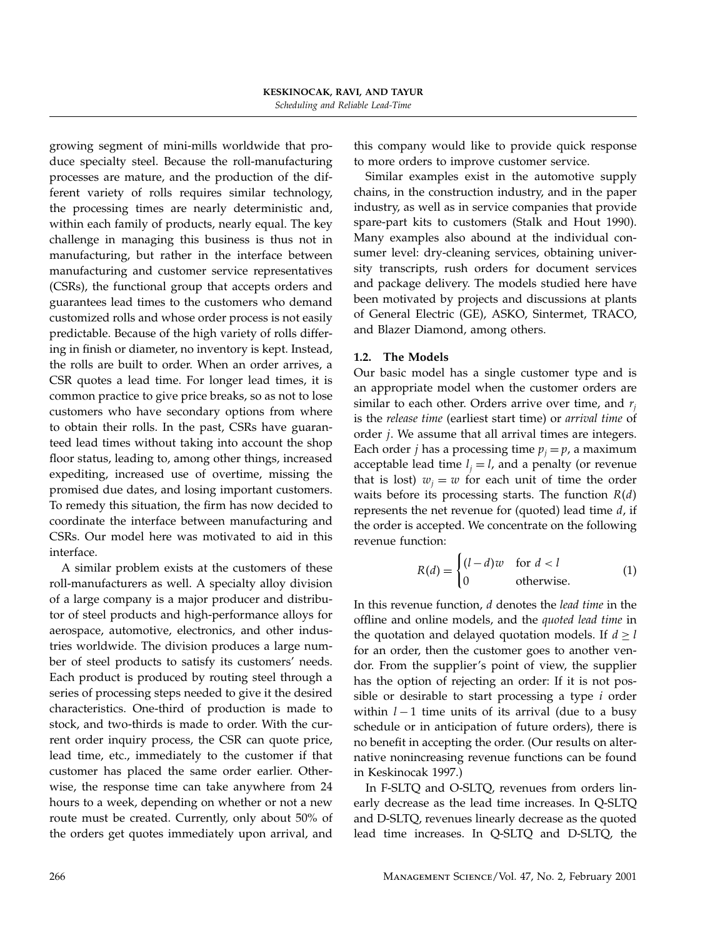growing segment of mini-mills worldwide that produce specialty steel. Because the roll-manufacturing processes are mature, and the production of the different variety of rolls requires similar technology, the processing times are nearly deterministic and, within each family of products, nearly equal. The key challenge in managing this business is thus not in manufacturing, but rather in the interface between manufacturing and customer service representatives (CSRs), the functional group that accepts orders and guarantees lead times to the customers who demand customized rolls and whose order process is not easily predictable. Because of the high variety of rolls differing in finish or diameter, no inventory is kept. Instead, the rolls are built to order. When an order arrives, a CSR quotes a lead time. For longer lead times, it is common practice to give price breaks, so as not to lose customers who have secondary options from where to obtain their rolls. In the past, CSRs have guaranteed lead times without taking into account the shop floor status, leading to, among other things, increased expediting, increased use of overtime, missing the promised due dates, and losing important customers. To remedy this situation, the firm has now decided to coordinate the interface between manufacturing and CSRs. Our model here was motivated to aid in this interface.

A similar problem exists at the customers of these roll-manufacturers as well. A specialty alloy division of a large company is a major producer and distributor of steel products and high-performance alloys for aerospace, automotive, electronics, and other industries worldwide. The division produces a large number of steel products to satisfy its customers' needs. Each product is produced by routing steel through a series of processing steps needed to give it the desired characteristics. One-third of production is made to stock, and two-thirds is made to order. With the current order inquiry process, the CSR can quote price, lead time, etc., immediately to the customer if that customer has placed the same order earlier. Otherwise, the response time can take anywhere from 24 hours to a week, depending on whether or not a new route must be created. Currently, only about 50% of the orders get quotes immediately upon arrival, and this company would like to provide quick response to more orders to improve customer service.

Similar examples exist in the automotive supply chains, in the construction industry, and in the paper industry, as well as in service companies that provide spare-part kits to customers (Stalk and Hout 1990). Many examples also abound at the individual consumer level: dry-cleaning services, obtaining university transcripts, rush orders for document services and package delivery. The models studied here have been motivated by projects and discussions at plants of General Electric (GE), ASKO, Sintermet, TRACO, and Blazer Diamond, among others.

## 1.2. The Models

Our basic model has a single customer type and is an appropriate model when the customer orders are similar to each other. Orders arrive over time, and  $r_i$ is the release time (earliest start time) or arrival time of order j. We assume that all arrival times are integers. Each order *j* has a processing time  $p_i = p$ , a maximum acceptable lead time  $l_i = l$ , and a penalty (or revenue that is lost)  $w_i = w$  for each unit of time the order waits before its processing starts. The function  $R(d)$ represents the net revenue for (quoted) lead time  $d$ , if the order is accepted. We concentrate on the following revenue function:

$$
R(d) = \begin{cases} (l-d)w & \text{for } d < l \\ 0 & \text{otherwise.} \end{cases}
$$
 (1)

In this revenue function, d denotes the lead time in the offline and online models, and the quoted lead time in the quotation and delayed quotation models. If  $d \ge l$ for an order, then the customer goes to another vendor. From the supplier's point of view, the supplier has the option of rejecting an order: If it is not possible or desirable to start processing a type  $i$  order within  $l - 1$  time units of its arrival (due to a busy schedule or in anticipation of future orders), there is no benefit in accepting the order. (Our results on alternative nonincreasing revenue functions can be found in Keskinocak 1997.)

In F-SLTQ and O-SLTQ, revenues from orders linearly decrease as the lead time increases. In Q-SLTQ and D-SLTQ, revenues linearly decrease as the quoted lead time increases. In Q-SLTQ and D-SLTQ, the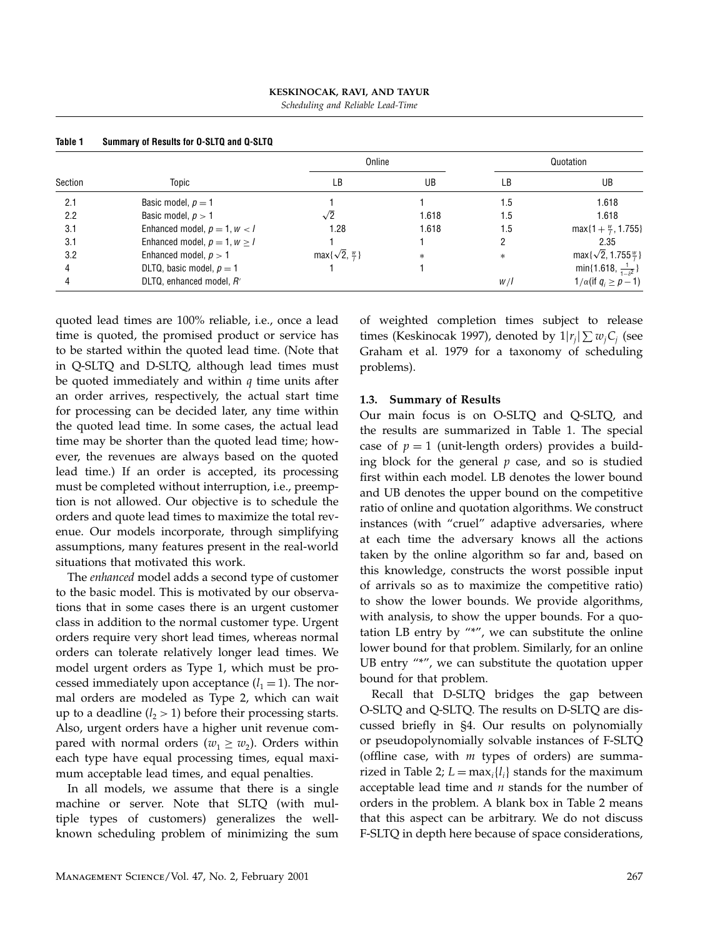| KESKINOCAK, RAVI, AND TAYUR       |
|-----------------------------------|
| Scheduling and Reliable Lead-Time |

| Table 1 | Summary of Results for O-SLTQ and Q-SLTQ |                                 |        |           |                                      |
|---------|------------------------------------------|---------------------------------|--------|-----------|--------------------------------------|
| Section | Topic                                    | Online                          |        | Quotation |                                      |
|         |                                          | LВ                              | UB     | LB        | UB                                   |
| 2.1     | Basic model, $p = 1$                     |                                 |        | 1.5       | 1.618                                |
| 2.2     | Basic model, $p > 1$                     | $\sqrt{2}$                      | 1.618  | 1.5       | 1.618                                |
| 3.1     | Enhanced model, $p = 1, w < l$           | 1.28                            | 1.618  | 1.5       | $max{1 + \frac{w}{i}, 1.755}$        |
| 3.1     | Enhanced model, $p = 1, w \ge l$         |                                 |        |           | 2.35                                 |
| 3.2     | Enhanced model, $p > 1$                  | $max\{\sqrt{2}, \frac{w}{l}\}\$ | $\ast$ | $\ast$    | $max\{\sqrt{2}, 1.755\frac{w}{l}\}\$ |
|         | DLTQ, basic model, $p = 1$               |                                 |        |           | min{1.618, $\frac{1}{1 \cdot s^2}$ } |
|         | DLTQ, enhanced model, R'                 |                                 |        | W/        | $1/\alpha$ (if $q_i \geq p-1$ )      |

quoted lead times are 100% reliable, i.e., once a lead time is quoted, the promised product or service has to be started within the quoted lead time. (Note that in Q-SLTQ and D-SLTQ, although lead times must be quoted immediately and within  $q$  time units after an order arrives, respectively, the actual start time for processing can be decided later, any time within the quoted lead time. In some cases, the actual lead time may be shorter than the quoted lead time; however, the revenues are always based on the quoted lead time.) If an order is accepted, its processing must be completed without interruption, i.e., preemption is not allowed. Our objective is to schedule the orders and quote lead times to maximize the total revenue. Our models incorporate, through simplifying assumptions, many features present in the real-world situations that motivated this work.

The enhanced model adds a second type of customer to the basic model. This is motivated by our observations that in some cases there is an urgent customer class in addition to the normal customer type. Urgent orders require very short lead times, whereas normal orders can tolerate relatively longer lead times. We model urgent orders as Type 1, which must be processed immediately upon acceptance  $(l_1 = 1)$ . The normal orders are modeled as Type 2, which can wait up to a deadline  $(l_2 > 1)$  before their processing starts. Also, urgent orders have a higher unit revenue compared with normal orders ( $w_1 \geq w_2$ ). Orders within each type have equal processing times, equal maximum acceptable lead times, and equal penalties.

In all models, we assume that there is a single machine or server. Note that SLTQ (with multiple types of customers) generalizes the wellknown scheduling problem of minimizing the sum of weighted completion times subject to release times (Keskinocak 1997), denoted by  $1|r_j|\sum w_j C_j$  (see Graham et al. 1979 for a taxonomy of scheduling problems).

#### 1.3. Summary of Results

Our main focus is on O-SLTQ and Q-SLTQ, and the results are summarized in Table 1. The special case of  $p = 1$  (unit-length orders) provides a building block for the general  $p$  case, and so is studied first within each model. LB denotes the lower bound and UB denotes the upper bound on the competitive ratio of online and quotation algorithms. We construct instances (with "cruel" adaptive adversaries, where at each time the adversary knows all the actions taken by the online algorithm so far and, based on this knowledge, constructs the worst possible input of arrivals so as to maximize the competitive ratio) to show the lower bounds. We provide algorithms, with analysis, to show the upper bounds. For a quotation LB entry by "\*", we can substitute the online lower bound for that problem. Similarly, for an online UB entry "\*", we can substitute the quotation upper bound for that problem.

Recall that D-SLTQ bridges the gap between O-SLTQ and Q-SLTQ. The results on D-SLTQ are discussed briefly in §4. Our results on polynomially or pseudopolynomially solvable instances of F-SLTQ (offline case, with  $m$  types of orders) are summarized in Table 2;  $L = max_i \{l_i\}$  stands for the maximum acceptable lead time and  $n$  stands for the number of orders in the problem. A blank box in Table 2 means that this aspect can be arbitrary. We do not discuss F-SLTQ in depth here because of space considerations,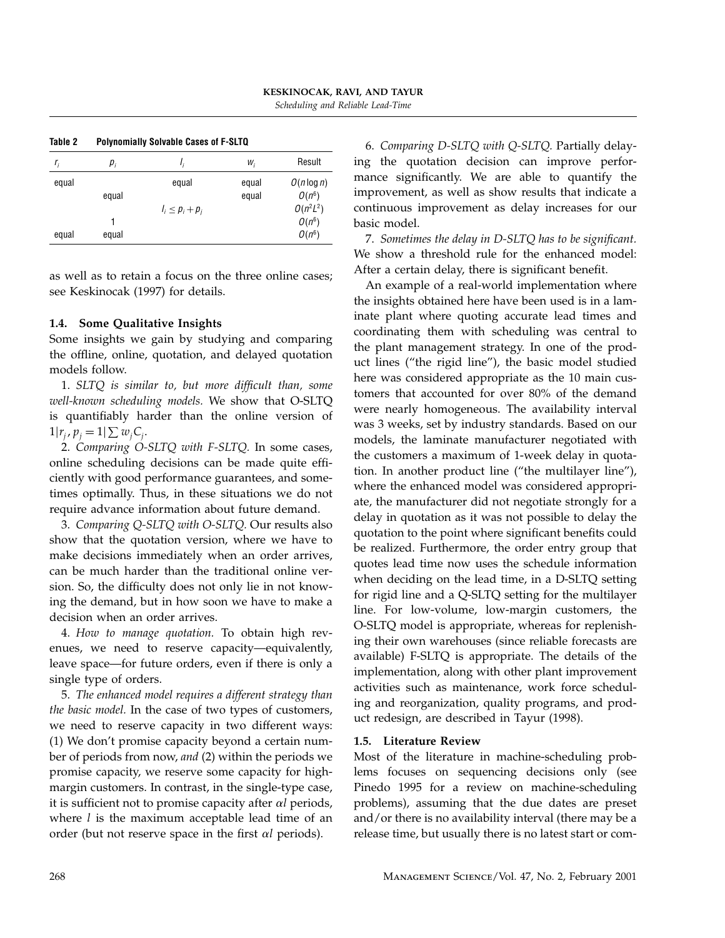| $r_i$ | $p_i$ |                      | W,    | Result        |
|-------|-------|----------------------|-------|---------------|
| equal |       | equal                | equal | $O(n \log n)$ |
|       | equal |                      | equal | $O(n^6)$      |
|       |       | $l_i \leq p_i + p_i$ |       | $O(n^2L^2)$   |
|       |       |                      |       | $O(n^6)$      |
| equal | equal |                      |       | $O(n^6)$      |
|       |       |                      |       |               |

Table 2 Polynomially Solvable Cases of F-SLTQ

as well as to retain a focus on the three online cases; see Keskinocak (1997) for details.

#### 1.4. Some Qualitative Insights

Some insights we gain by studying and comparing the offline, online, quotation, and delayed quotation models follow.

1. SLTQ is similar to, but more difficult than, some well-known scheduling models. We show that O-SLTQ is quantifiably harder than the online version of  $1|r_j, p_j = 1| \sum w_j C_j.$ 

2. Comparing O-SLTQ with F-SLTQ. In some cases, online scheduling decisions can be made quite efficiently with good performance guarantees, and sometimes optimally. Thus, in these situations we do not require advance information about future demand.

3. Comparing Q-SLTQ with O-SLTQ. Our results also show that the quotation version, where we have to make decisions immediately when an order arrives, can be much harder than the traditional online version. So, the difficulty does not only lie in not knowing the demand, but in how soon we have to make a decision when an order arrives.

4. How to manage quotation. To obtain high revenues, we need to reserve capacity—equivalently, leave space—for future orders, even if there is only a single type of orders.

5. The enhanced model requires a different strategy than the basic model. In the case of two types of customers, we need to reserve capacity in two different ways: (1) We don't promise capacity beyond a certain number of periods from now, and (2) within the periods we promise capacity, we reserve some capacity for highmargin customers. In contrast, in the single-type case, it is sufficient not to promise capacity after  $\alpha l$  periods, where  $l$  is the maximum acceptable lead time of an order (but not reserve space in the first  $\alpha l$  periods).

6. Comparing D-SLTQ with Q-SLTQ. Partially delaying the quotation decision can improve performance significantly. We are able to quantify the improvement, as well as show results that indicate a continuous improvement as delay increases for our basic model.

7. Sometimes the delay in D-SLTQ has to be significant. We show a threshold rule for the enhanced model: After a certain delay, there is significant benefit.

An example of a real-world implementation where the insights obtained here have been used is in a laminate plant where quoting accurate lead times and coordinating them with scheduling was central to the plant management strategy. In one of the product lines ("the rigid line"), the basic model studied here was considered appropriate as the 10 main customers that accounted for over 80% of the demand were nearly homogeneous. The availability interval was 3 weeks, set by industry standards. Based on our models, the laminate manufacturer negotiated with the customers a maximum of 1-week delay in quotation. In another product line ("the multilayer line"), where the enhanced model was considered appropriate, the manufacturer did not negotiate strongly for a delay in quotation as it was not possible to delay the quotation to the point where significant benefits could be realized. Furthermore, the order entry group that quotes lead time now uses the schedule information when deciding on the lead time, in a D-SLTQ setting for rigid line and a Q-SLTQ setting for the multilayer line. For low-volume, low-margin customers, the O-SLTQ model is appropriate, whereas for replenishing their own warehouses (since reliable forecasts are available) F-SLTQ is appropriate. The details of the implementation, along with other plant improvement activities such as maintenance, work force scheduling and reorganization, quality programs, and product redesign, are described in Tayur (1998).

#### 1.5. Literature Review

Most of the literature in machine-scheduling problems focuses on sequencing decisions only (see Pinedo 1995 for a review on machine-scheduling problems), assuming that the due dates are preset and/or there is no availability interval (there may be a release time, but usually there is no latest start or com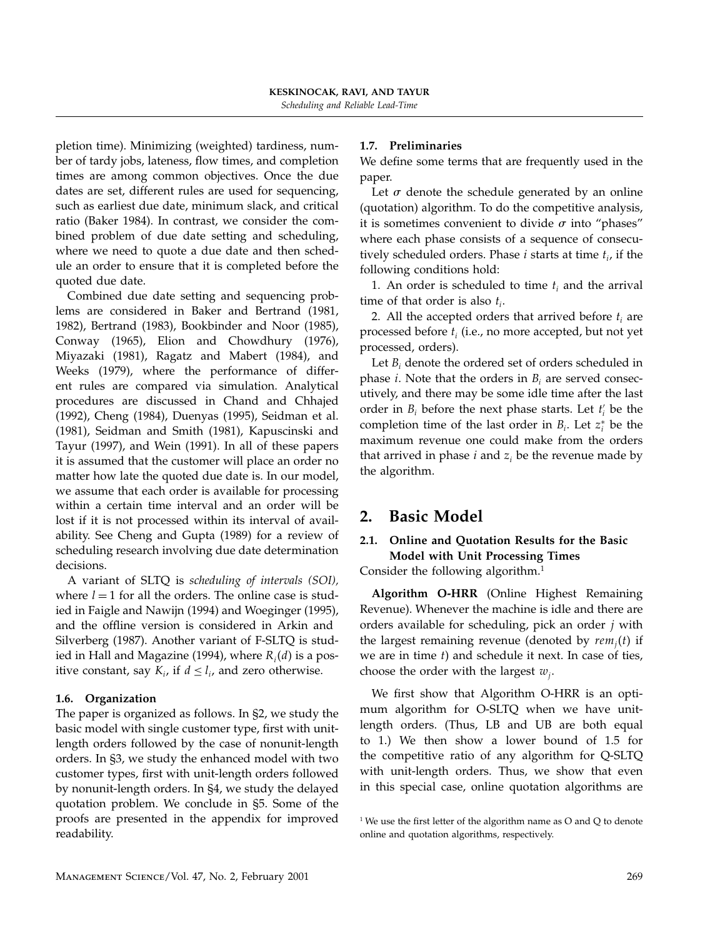pletion time). Minimizing (weighted) tardiness, number of tardy jobs, lateness, flow times, and completion times are among common objectives. Once the due dates are set, different rules are used for sequencing, such as earliest due date, minimum slack, and critical ratio (Baker 1984). In contrast, we consider the combined problem of due date setting and scheduling, where we need to quote a due date and then schedule an order to ensure that it is completed before the quoted due date.

Combined due date setting and sequencing problems are considered in Baker and Bertrand (1981, 1982), Bertrand (1983), Bookbinder and Noor (1985), Conway (1965), Elion and Chowdhury (1976), Miyazaki (1981), Ragatz and Mabert (1984), and Weeks (1979), where the performance of different rules are compared via simulation. Analytical procedures are discussed in Chand and Chhajed (1992), Cheng (1984), Duenyas (1995), Seidman et al. (1981), Seidman and Smith (1981), Kapuscinski and Tayur (1997), and Wein (1991). In all of these papers it is assumed that the customer will place an order no matter how late the quoted due date is. In our model, we assume that each order is available for processing within a certain time interval and an order will be lost if it is not processed within its interval of availability. See Cheng and Gupta (1989) for a review of scheduling research involving due date determination decisions.

A variant of SLTQ is scheduling of intervals (SOI), where  $l = 1$  for all the orders. The online case is studied in Faigle and Nawijn (1994) and Woeginger (1995), and the offline version is considered in Arkin and Silverberg (1987). Another variant of F-SLTQ is studied in Hall and Magazine (1994), where  $R_i(d)$  is a positive constant, say  $K_i$ , if  $d \leq l_i$ , and zero otherwise.

## 1.6. Organization

The paper is organized as follows. In §2, we study the basic model with single customer type, first with unitlength orders followed by the case of nonunit-length orders. In §3, we study the enhanced model with two customer types, first with unit-length orders followed by nonunit-length orders. In §4, we study the delayed quotation problem. We conclude in §5. Some of the proofs are presented in the appendix for improved readability.

## 1.7. Preliminaries

We define some terms that are frequently used in the paper.

Let  $\sigma$  denote the schedule generated by an online (quotation) algorithm. To do the competitive analysis, it is sometimes convenient to divide  $\sigma$  into "phases" where each phase consists of a sequence of consecutively scheduled orders. Phase *i* starts at time  $t_i$ , if the following conditions hold:

1. An order is scheduled to time  $t_i$  and the arrival time of that order is also  $t_i$ .

2. All the accepted orders that arrived before  $t_i$  are processed before  $t_i$  (i.e., no more accepted, but not yet processed, orders).

Let  $B_i$  denote the ordered set of orders scheduled in phase *i*. Note that the orders in  $B_i$  are served consecutively, and there may be some idle time after the last order in  $B_i$  before the next phase starts. Let  $t'_i$  be the completion time of the last order in  $B_i$ . Let  $z_i^*$  be the maximum revenue one could make from the orders that arrived in phase  $i$  and  $z_i$  be the revenue made by the algorithm.

# 2. Basic Model

## 2.1. Online and Quotation Results for the Basic Model with Unit Processing Times

Consider the following algorithm. $<sup>1</sup>$ </sup>

Algorithm O-HRR (Online Highest Remaining Revenue). Whenever the machine is idle and there are orders available for scheduling, pick an order  $j$  with the largest remaining revenue (denoted by  $rem_i(t)$  if we are in time t) and schedule it next. In case of ties, choose the order with the largest  $w_i$ .

We first show that Algorithm O-HRR is an optimum algorithm for O-SLTQ when we have unitlength orders. (Thus, LB and UB are both equal to 1.) We then show a lower bound of 1.5 for the competitive ratio of any algorithm for Q-SLTQ with unit-length orders. Thus, we show that even in this special case, online quotation algorithms are

 $1$  We use the first letter of the algorithm name as O and Q to denote online and quotation algorithms, respectively.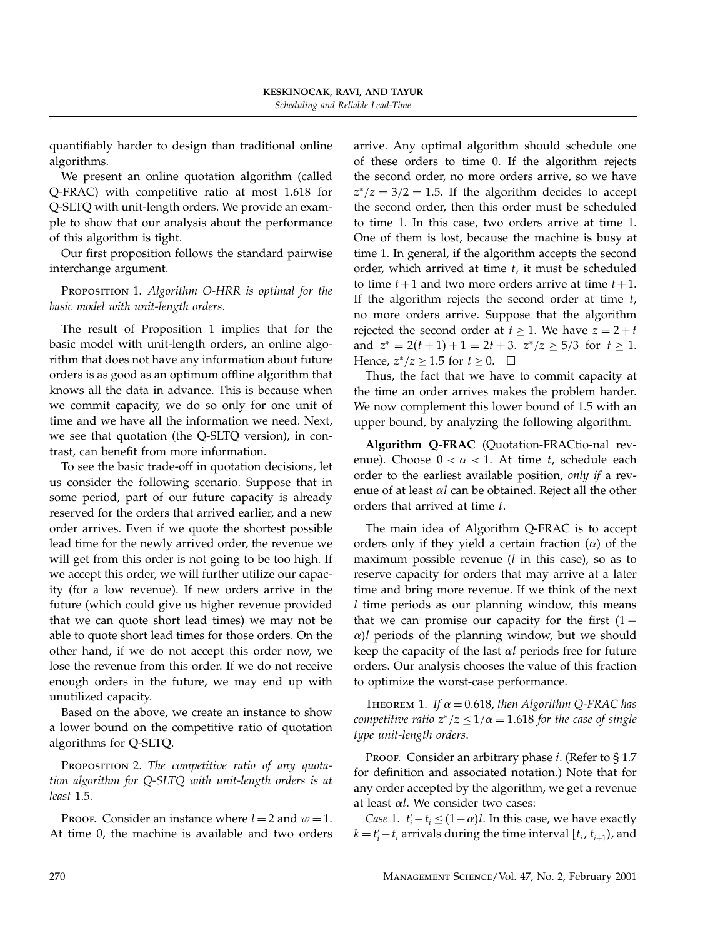quantifiably harder to design than traditional online algorithms.

We present an online quotation algorithm (called Q-FRAC) with competitive ratio at most 1.618 for Q-SLTQ with unit-length orders. We provide an example to show that our analysis about the performance of this algorithm is tight.

Our first proposition follows the standard pairwise interchange argument.

## PROPOSITION 1. Algorithm O-HRR is optimal for the basic model with unit-length orders.

The result of Proposition 1 implies that for the basic model with unit-length orders, an online algorithm that does not have any information about future orders is as good as an optimum offline algorithm that knows all the data in advance. This is because when we commit capacity, we do so only for one unit of time and we have all the information we need. Next, we see that quotation (the Q-SLTQ version), in contrast, can benefit from more information.

To see the basic trade-off in quotation decisions, let us consider the following scenario. Suppose that in some period, part of our future capacity is already reserved for the orders that arrived earlier, and a new order arrives. Even if we quote the shortest possible lead time for the newly arrived order, the revenue we will get from this order is not going to be too high. If we accept this order, we will further utilize our capacity (for a low revenue). If new orders arrive in the future (which could give us higher revenue provided that we can quote short lead times) we may not be able to quote short lead times for those orders. On the other hand, if we do not accept this order now, we lose the revenue from this order. If we do not receive enough orders in the future, we may end up with unutilized capacity.

Based on the above, we create an instance to show a lower bound on the competitive ratio of quotation algorithms for Q-SLTQ.

PROPOSITION 2. The competitive ratio of any quotation algorithm for Q-SLTQ with unit-length orders is at least 1.5.

PROOF. Consider an instance where  $l = 2$  and  $w = 1$ . At time 0, the machine is available and two orders arrive. Any optimal algorithm should schedule one of these orders to time 0. If the algorithm rejects the second order, no more orders arrive, so we have  $z^*/z = 3/2 = 1.5$ . If the algorithm decides to accept the second order, then this order must be scheduled to time 1. In this case, two orders arrive at time 1. One of them is lost, because the machine is busy at time 1. In general, if the algorithm accepts the second order, which arrived at time  $t$ , it must be scheduled to time  $t+1$  and two more orders arrive at time  $t+1$ . If the algorithm rejects the second order at time  $t$ , no more orders arrive. Suppose that the algorithm rejected the second order at  $t \geq 1$ . We have  $z = 2 + t$ and  $z^* = 2(t+1) + 1 = 2t + 3$ .  $z^*/z \ge 5/3$  for  $t \ge 1$ . Hence,  $z^*/z \ge 1.5$  for  $t \ge 0$ .  $\Box$ 

Thus, the fact that we have to commit capacity at the time an order arrives makes the problem harder. We now complement this lower bound of 1.5 with an upper bound, by analyzing the following algorithm.

Algorithm Q-FRAC (Quotation-FRACtio-nal revenue). Choose  $0 < \alpha < 1$ . At time t, schedule each order to the earliest available position, only if a revenue of at least  $\alpha l$  can be obtained. Reject all the other orders that arrived at time t.

The main idea of Algorithm Q-FRAC is to accept orders only if they yield a certain fraction  $(\alpha)$  of the maximum possible revenue  $(l$  in this case), so as to reserve capacity for orders that may arrive at a later time and bring more revenue. If we think of the next l time periods as our planning window, this means that we can promise our capacity for the first  $(1 \alpha$ )l periods of the planning window, but we should keep the capacity of the last  $\alpha l$  periods free for future orders. Our analysis chooses the value of this fraction to optimize the worst-case performance.

THEOREM 1. If  $\alpha = 0.618$ , then Algorithm Q-FRAC has competitive ratio  $z^*/z \leq 1/\alpha = 1.618$  for the case of single type unit-length orders.

PROOF. Consider an arbitrary phase *i*. (Refer to § 1.7 for definition and associated notation.) Note that for any order accepted by the algorithm, we get a revenue at least  $\alpha$ l. We consider two cases:

Case 1.  $t'_{i} - t_{i} \leq (1 - \alpha)l$ . In this case, we have exactly  $k = t'_{i} - t_{i}$  arrivals during the time interval  $[t_{i}, t_{i+1})$ , and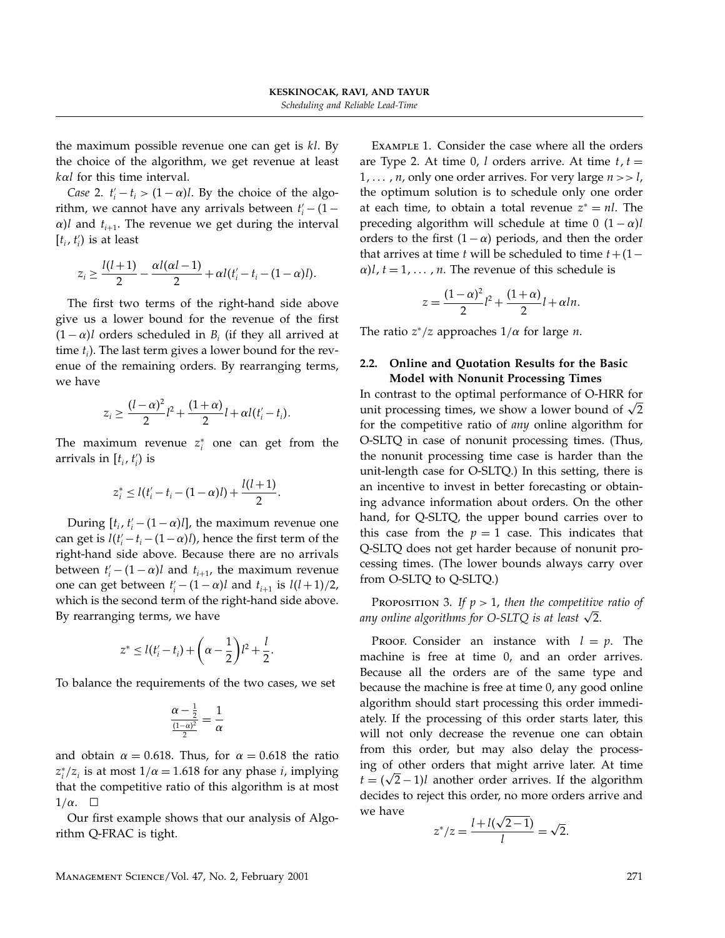the maximum possible revenue one can get is  $kl$ . By the choice of the algorithm, we get revenue at least  $k\alpha l$  for this time interval.

Case 2.  $t'_i - t_i > (1 - \alpha)l$ . By the choice of the algorithm, we cannot have any arrivals between  $t'_{i}$  – (1 –  $\alpha$ )l and  $t_{i+1}$ . The revenue we get during the interval  $[t_i, t'_i)$  is at least

$$
z_i \geq \frac{l(l+1)}{2} - \frac{\alpha l(\alpha l - 1)}{2} + \alpha l(t'_i - t_i - (1 - \alpha)l).
$$

The first two terms of the right-hand side above give us a lower bound for the revenue of the first  $(1 - \alpha)$ l orders scheduled in B<sub>i</sub> (if they all arrived at time  $t_i$ ). The last term gives a lower bound for the revenue of the remaining orders. By rearranging terms, we have

$$
z_i \geq \frac{(l-\alpha)^2}{2}l^2 + \frac{(1+\alpha)}{2}l + \alpha l(t'_i - t_i).
$$

The maximum revenue  $z_i^*$  one can get from the arrivals in  $[t_i, t'_i)$  is

$$
z_i^* \le l(t_i'-t_i-(1-\alpha)l) + \frac{l(l+1)}{2}.
$$

During  $[t_i, t'_i - (1 - \alpha)l]$ , the maximum revenue one can get is  $l(t'_{i} - t_{i} - (1 - \alpha)l)$ , hence the first term of the right-hand side above. Because there are no arrivals between  $t'_{i}$  –  $(1 - \alpha)l$  and  $t_{i+1}$ , the maximum revenue one can get between  $t'_{i}$  –  $(1-\alpha)l$  and  $t_{i+1}$  is  $l(l+1)/2$ , which is the second term of the right-hand side above. By rearranging terms, we have

$$
z^* \le l(t'_i - t_i) + \left(\alpha - \frac{1}{2}\right)l^2 + \frac{l}{2}.
$$

To balance the requirements of the two cases, we set

$$
\frac{\alpha - \frac{1}{2}}{\frac{(1-\alpha)^2}{2}} = \frac{1}{\alpha}
$$

and obtain  $\alpha = 0.618$ . Thus, for  $\alpha = 0.618$  the ratio  $z_i^*/z_i$  is at most  $1/\alpha = 1.618$  for any phase *i*, implying that the competitive ratio of this algorithm is at most  $1/\alpha$ .  $\Box$ 

Our first example shows that our analysis of Algorithm Q-FRAC is tight.

Example 1. Consider the case where all the orders are Type 2. At time 0, l orders arrive. At time  $t, t =$  $1, \ldots, n$ , only one order arrives. For very large  $n >> l$ , the optimum solution is to schedule only one order at each time, to obtain a total revenue  $z^* = nl$ . The preceding algorithm will schedule at time 0  $(1 - \alpha)l$ orders to the first  $(1 - \alpha)$  periods, and then the order that arrives at time t will be scheduled to time  $t+(1−$  $\alpha$ )l,  $t = 1, \dots, n$ . The revenue of this schedule is

$$
z = \frac{(1 - \alpha)^2}{2}l^2 + \frac{(1 + \alpha)}{2}l + \alpha ln.
$$

The ratio  $z^*/z$  approaches  $1/\alpha$  for large *n*.

### 2.2. Online and Quotation Results for the Basic Model with Nonunit Processing Times

In contrast to the optimal performance of O-HRR for unit processing times, we show a lower bound of  $\sqrt{2}$ for the competitive ratio of any online algorithm for O-SLTQ in case of nonunit processing times. (Thus, the nonunit processing time case is harder than the unit-length case for O-SLTQ.) In this setting, there is an incentive to invest in better forecasting or obtaining advance information about orders. On the other hand, for Q-SLTQ, the upper bound carries over to this case from the  $p = 1$  case. This indicates that Q-SLTQ does not get harder because of nonunit processing times. (The lower bounds always carry over from O-SLTQ to Q-SLTQ.)

PROPOSITION 3. If  $p > 1$ , then the competitive ratio of any online algorithms for  $O-SLTQ$  is at least  $\sqrt{2}$ .

PROOF. Consider an instance with  $l = p$ . The machine is free at time 0, and an order arrives. Because all the orders are of the same type and because the machine is free at time 0, any good online algorithm should start processing this order immediately. If the processing of this order starts later, this will not only decrease the revenue one can obtain from this order, but may also delay the processing of other orders that might arrive later. At time  $t = (\sqrt{2} - 1)l$  another order arrives. If the algorithm decides to reject this order, no more orders arrive and we have

$$
z^*/z = \frac{l + l(\sqrt{2-1})}{l} = \sqrt{2}.
$$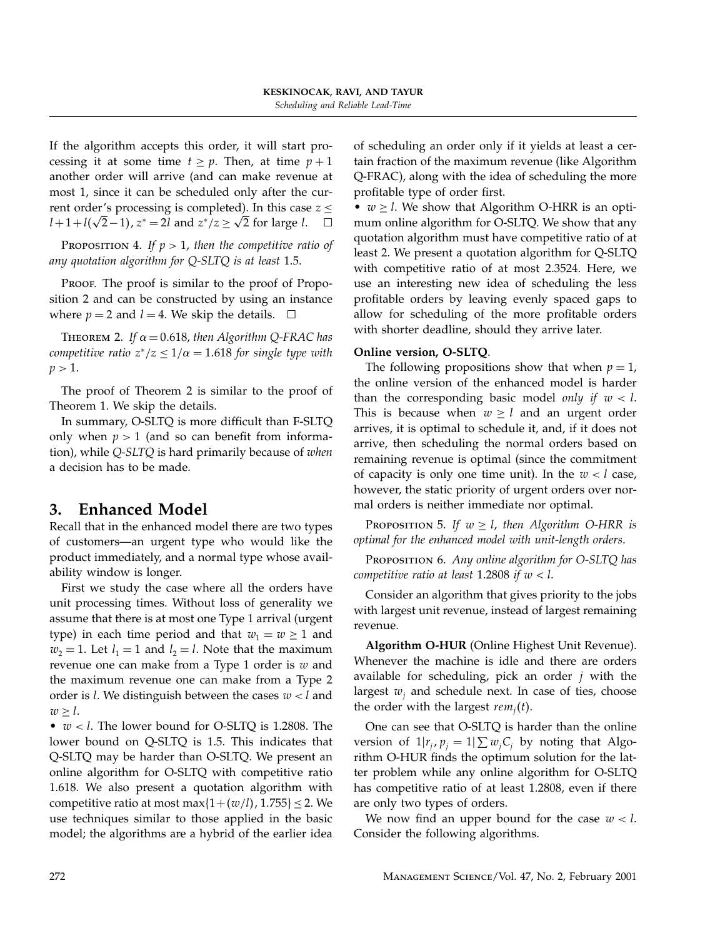If the algorithm accepts this order, it will start processing it at some time  $t \ge p$ . Then, at time  $p + 1$ another order will arrive (and can make revenue at most 1, since it can be scheduled only after the current order's processing is completed). In this case  $z \leq$  $l+1+l(\sqrt{2}-1)$ ,  $z^* = 2l$  and  $z^*/z \ge \sqrt{2}$  for large l.  $\square$ 

PROPOSITION 4. If  $p > 1$ , then the competitive ratio of any quotation algorithm for Q-SLTQ is at least 1.5.

PROOF. The proof is similar to the proof of Proposition 2 and can be constructed by using an instance where  $p = 2$  and  $l = 4$ . We skip the details.  $\Box$ 

THEOREM 2. If  $\alpha = 0.618$ , then Algorithm Q-FRAC has competitive ratio  $z^*/z \leq 1/\alpha = 1.618$  for single type with  $p > 1$ .

The proof of Theorem 2 is similar to the proof of Theorem 1. We skip the details.

In summary, O-SLTQ is more difficult than F-SLTQ only when  $p > 1$  (and so can benefit from information), while Q-SLTQ is hard primarily because of when a decision has to be made.

# 3. Enhanced Model

Recall that in the enhanced model there are two types of customers—an urgent type who would like the product immediately, and a normal type whose availability window is longer.

First we study the case where all the orders have unit processing times. Without loss of generality we assume that there is at most one Type 1 arrival (urgent type) in each time period and that  $w_1 = w \ge 1$  and  $w_2 = 1$ . Let  $l_1 = 1$  and  $l_2 = l$ . Note that the maximum revenue one can make from a Type 1 order is  $w$  and the maximum revenue one can make from a Type 2 order is  $l$ . We distinguish between the cases  $w < l$  and  $w \geq l$ .

•  $w < l$ . The lower bound for O-SLTQ is 1.2808. The lower bound on Q-SLTQ is 1.5. This indicates that Q-SLTQ may be harder than O-SLTQ. We present an online algorithm for O-SLTQ with competitive ratio 1.618. We also present a quotation algorithm with competitive ratio at most max $\{1+(w/l), 1.755\} \leq 2$ . We use techniques similar to those applied in the basic model; the algorithms are a hybrid of the earlier idea

of scheduling an order only if it yields at least a certain fraction of the maximum revenue (like Algorithm Q-FRAC), along with the idea of scheduling the more profitable type of order first.

•  $w \geq l$ . We show that Algorithm O-HRR is an optimum online algorithm for O-SLTQ. We show that any quotation algorithm must have competitive ratio of at least 2. We present a quotation algorithm for Q-SLTQ with competitive ratio of at most 2.3524. Here, we use an interesting new idea of scheduling the less profitable orders by leaving evenly spaced gaps to allow for scheduling of the more profitable orders with shorter deadline, should they arrive later.

## Online version, O-SLTQ.

The following propositions show that when  $p = 1$ , the online version of the enhanced model is harder than the corresponding basic model only if  $w < l$ . This is because when  $w \geq l$  and an urgent order arrives, it is optimal to schedule it, and, if it does not arrive, then scheduling the normal orders based on remaining revenue is optimal (since the commitment of capacity is only one time unit). In the  $w < l$  case, however, the static priority of urgent orders over normal orders is neither immediate nor optimal.

PROPOSITION 5. If  $w \geq l$ , then Algorithm O-HRR is optimal for the enhanced model with unit-length orders.

PROPOSITION 6. Any online algorithm for O-SLTQ has competitive ratio at least 1.2808 if  $w < l$ .

Consider an algorithm that gives priority to the jobs with largest unit revenue, instead of largest remaining revenue.

Algorithm O-HUR (Online Highest Unit Revenue). Whenever the machine is idle and there are orders available for scheduling, pick an order  $j$  with the largest  $w_i$  and schedule next. In case of ties, choose the order with the largest  $rem<sub>i</sub>(t)$ .

One can see that O-SLTQ is harder than the online version of  $1|r_j, p_j = 1| \sum w_j C_j$  by noting that Algorithm O-HUR finds the optimum solution for the latter problem while any online algorithm for O-SLTQ has competitive ratio of at least 1.2808, even if there are only two types of orders.

We now find an upper bound for the case  $w < l$ . Consider the following algorithms.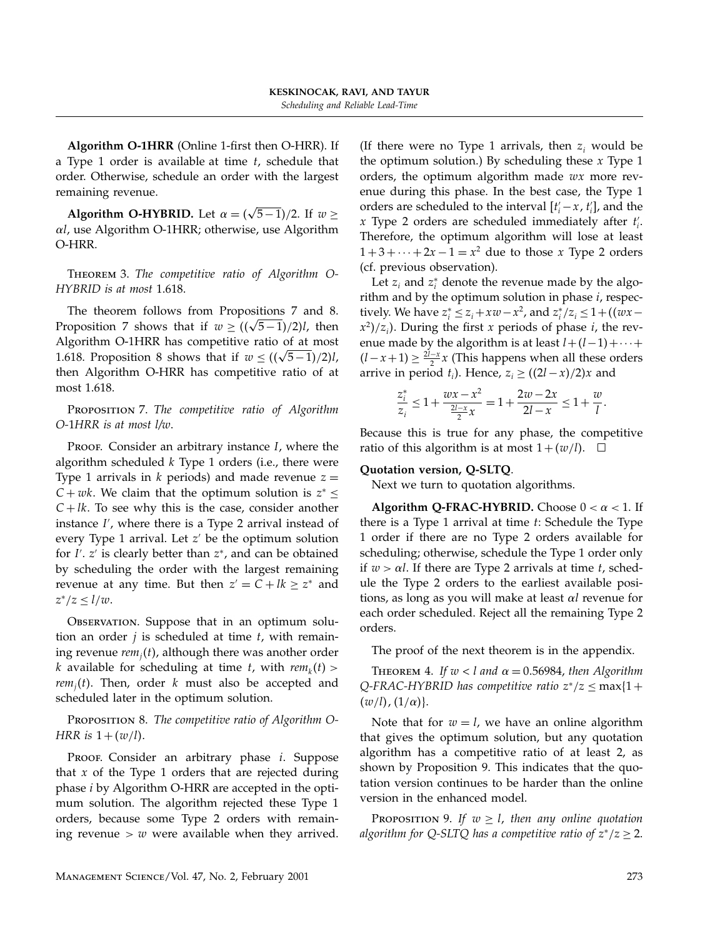Algorithm O-1HRR (Online 1-first then O-HRR). If a Type 1 order is available at time  $t$ , schedule that order. Otherwise, schedule an order with the largest remaining revenue.

Algorithm O-HYBRID. Let  $\alpha = (\sqrt{5-1})/2$ . If  $w \ge$  $\alpha$ l, use Algorithm O-1HRR; otherwise, use Algorithm O-HRR.

THEOREM 3. The competitive ratio of Algorithm O-HYBRID is at most 1.618.

The theorem follows from Propositions 7 and 8. Proposition 7 shows that if  $w \geq ((\sqrt{5}-1)/2)l$ , then Algorithm O-1HRR has competitive ratio of at most 1.618. Proposition 8 shows that if  $w \leq ((\sqrt{5}-1)/2)l$ , then Algorithm O-HRR has competitive ratio of at most 1.618.

PROPOSITION 7. The competitive ratio of Algorithm O-1HRR is at most l/w.

PROOF. Consider an arbitrary instance  $I$ , where the algorithm scheduled  $k$  Type 1 orders (i.e., there were Type 1 arrivals in  $k$  periods) and made revenue  $z =$  $C + wk$ . We claim that the optimum solution is  $z^* \leq$  $C + lk$ . To see why this is the case, consider another instance I , where there is a Type 2 arrival instead of every Type 1 arrival. Let  $z'$  be the optimum solution for I'. z' is clearly better than z\*, and can be obtained by scheduling the order with the largest remaining revenue at any time. But then  $z' = C + lk \geq z^*$  and  $z^*/z \leq l/w$ .

Observation. Suppose that in an optimum solution an order  $j$  is scheduled at time  $t$ , with remaining revenue  $rem<sub>i</sub>(t)$ , although there was another order k available for scheduling at time t, with  $rem_k(t)$  >  $rem<sub>i</sub>(t)$ . Then, order k must also be accepted and scheduled later in the optimum solution.

PROPOSITION 8. The competitive ratio of Algorithm O-HRR is  $1+(w/l)$ .

Proof. Consider an arbitrary phase *i*. Suppose that  $x$  of the Type 1 orders that are rejected during phase i by Algorithm O-HRR are accepted in the optimum solution. The algorithm rejected these Type 1 orders, because some Type 2 orders with remaining revenue  $> w$  were available when they arrived. (If there were no Type 1 arrivals, then  $z_i$  would be the optimum solution.) By scheduling these  $x$  Type 1 orders, the optimum algorithm made  $wx$  more revenue during this phase. In the best case, the Type 1 orders are scheduled to the interval  $[t'_i - x, t'_i]$ , and the x Type 2 orders are scheduled immediately after  $t_i'$ . Therefore, the optimum algorithm will lose at least  $1+3+\cdots+2x-1=x^2$  due to those x Type 2 orders (cf. previous observation).

Let  $z_i$  and  $z_i^*$  denote the revenue made by the algorithm and by the optimum solution in phase  $i$ , respectively. We have  $z_i^* \leq z_i + xw - x^2$ , and  $z_i^*/z_i \leq 1 + ((wx - y^2))$  $(x^2)/z_i$ ). During the first x periods of phase i, the revenue made by the algorithm is at least  $l+(l-1)+\cdots+$  $(l-x+1) \geq \frac{2l-x}{2}x$  (This happens when all these orders arrive in period  $t_i$ ). Hence,  $z_i \geq \frac{2l - x}{2}x$  and

$$
\frac{z_i^*}{z_i} \le 1 + \frac{w x - x^2}{\frac{2l - x}{2}} = 1 + \frac{2w - 2x}{2l - x} \le 1 + \frac{w}{l}.
$$

Because this is true for any phase, the competitive ratio of this algorithm is at most  $1+(w/l)$ .  $\Box$ 

## Quotation version, Q-SLTQ.

Next we turn to quotation algorithms.

Algorithm Q-FRAC-HYBRID. Choose  $0 < \alpha < 1$ . If there is a Type 1 arrival at time t: Schedule the Type 1 order if there are no Type 2 orders available for scheduling; otherwise, schedule the Type 1 order only if  $w > \alpha l$ . If there are Type 2 arrivals at time t, schedule the Type 2 orders to the earliest available positions, as long as you will make at least  $\alpha l$  revenue for each order scheduled. Reject all the remaining Type 2 orders.

The proof of the next theorem is in the appendix.

THEOREM 4. If  $w < l$  and  $\alpha = 0.56984$ , then Algorithm Q-FRAC-HYBRID has competitive ratio  $z^*/z \leq \max\{1+\}$  $(w/l)$ ,  $(1/\alpha)$ .

Note that for  $w = l$ , we have an online algorithm that gives the optimum solution, but any quotation algorithm has a competitive ratio of at least 2, as shown by Proposition 9. This indicates that the quotation version continues to be harder than the online version in the enhanced model.

PROPOSITION 9. If  $w \geq l$ , then any online quotation algorithm for Q-SLTQ has a competitive ratio of  $z^*/z \geq 2$ .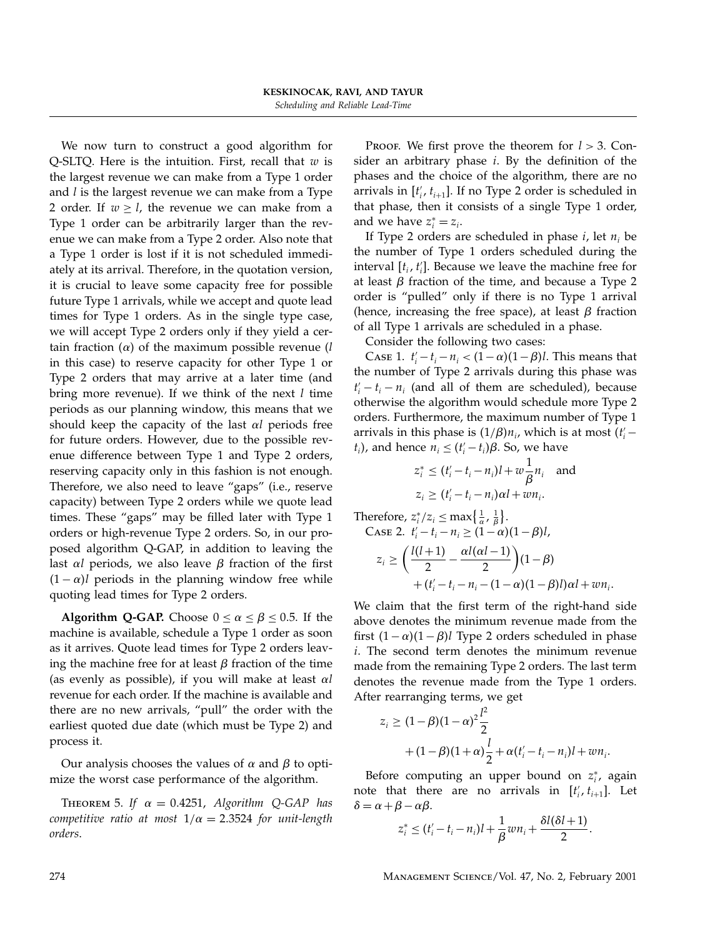We now turn to construct a good algorithm for Q-SLTQ. Here is the intuition. First, recall that  $w$  is the largest revenue we can make from a Type 1 order and  $l$  is the largest revenue we can make from a Type 2 order. If  $w \ge l$ , the revenue we can make from a Type 1 order can be arbitrarily larger than the revenue we can make from a Type 2 order. Also note that a Type 1 order is lost if it is not scheduled immediately at its arrival. Therefore, in the quotation version, it is crucial to leave some capacity free for possible future Type 1 arrivals, while we accept and quote lead times for Type 1 orders. As in the single type case, we will accept Type 2 orders only if they yield a certain fraction  $(\alpha)$  of the maximum possible revenue (*l* in this case) to reserve capacity for other Type 1 or Type 2 orders that may arrive at a later time (and bring more revenue). If we think of the next  $l$  time periods as our planning window, this means that we should keep the capacity of the last  $\alpha l$  periods free for future orders. However, due to the possible revenue difference between Type 1 and Type 2 orders, reserving capacity only in this fashion is not enough. Therefore, we also need to leave "gaps" (i.e., reserve capacity) between Type 2 orders while we quote lead times. These "gaps" may be filled later with Type 1 orders or high-revenue Type 2 orders. So, in our proposed algorithm Q-GAP, in addition to leaving the last  $\alpha l$  periods, we also leave  $\beta$  fraction of the first  $(1 - \alpha)$  periods in the planning window free while quoting lead times for Type 2 orders.

Algorithm Q-GAP. Choose  $0 \le \alpha \le \beta \le 0.5$ . If the machine is available, schedule a Type 1 order as soon as it arrives. Quote lead times for Type 2 orders leaving the machine free for at least  $\beta$  fraction of the time (as evenly as possible), if you will make at least  $\alpha l$ revenue for each order. If the machine is available and there are no new arrivals, "pull" the order with the earliest quoted due date (which must be Type 2) and process it.

Our analysis chooses the values of  $\alpha$  and  $\beta$  to optimize the worst case performance of the algorithm.

THEOREM 5. If  $\alpha = 0.4251$ , Algorithm Q-GAP has competitive ratio at most  $1/\alpha = 2.3524$  for unit-length orders.

PROOF. We first prove the theorem for  $l > 3$ . Consider an arbitrary phase  $i$ . By the definition of the phases and the choice of the algorithm, there are no arrivals in  $[t'_i, t_{i+1}]$ . If no Type 2 order is scheduled in that phase, then it consists of a single Type 1 order, and we have  $z_i^* = z_i$ .

If Type 2 orders are scheduled in phase  $i$ , let  $n_i$  be the number of Type 1 orders scheduled during the interval  $[t_i, t'_i]$ . Because we leave the machine free for at least  $\beta$  fraction of the time, and because a Type 2 order is "pulled" only if there is no Type 1 arrival (hence, increasing the free space), at least  $\beta$  fraction of all Type 1 arrivals are scheduled in a phase.

Consider the following two cases:

Case 1.  $t'_i - t_i - n_i < (1 - \alpha)(1 - \beta)l$ . This means that the number of Type 2 arrivals during this phase was  $t'_{i} - t_{i} - n_{i}$  (and all of them are scheduled), because otherwise the algorithm would schedule more Type 2 orders. Furthermore, the maximum number of Type 1 arrivals in this phase is  $(1/\beta)n_i$ , which is at most  $(t'_i$  –  $(t_i)$ , and hence  $n_i \leq (t'_i - t_i)\beta$ . So, we have

$$
z_i^* \le (t_i'-t_i-n_i)l+w\frac{1}{\beta}n_i \text{ and}
$$
  

$$
z_i \ge (t_i'-t_i-n_i)\alpha l+wn_i.
$$

Therefore,  $z_i^*/z_i \leq \max\left\{\frac{1}{\alpha},\frac{1}{\beta}\right\}$ . CASE 2.  $t'_i - t_i - n_i \geq (1 - \alpha)(1 - \beta)l$ ,  $z_i \geq \left(\frac{l(l+1)}{2} - \frac{\alpha l(\alpha l -1)}{2}\right)$  $(1-\beta)$  $+(t'_{i} - t_{i} - n_{i} - (1 - \alpha)(1 - \beta)l)\alpha l + w n_{i}.$ 

We claim that the first term of the right-hand side above denotes the minimum revenue made from the first  $(1-\alpha)(1-\beta)$ l Type 2 orders scheduled in phase i. The second term denotes the minimum revenue made from the remaining Type 2 orders. The last term denotes the revenue made from the Type 1 orders. After rearranging terms, we get

$$
z_i \ge (1 - \beta)(1 - \alpha)^2 \frac{l^2}{2} + (1 - \beta)(1 + \alpha) \frac{l}{2} + \alpha(t'_i - t_i - n_i)l + w n_i.
$$

Before computing an upper bound on  $z_i^*$ , again note that there are no arrivals in  $[t'_i, t_{i+1}]$ . Let  $\delta = \alpha + \beta - \alpha \beta$ .

$$
z_i^* \leq (t_i'-t_i-n_i)l+\frac{1}{\beta}wn_i+\frac{\delta l(\delta l+1)}{2}.
$$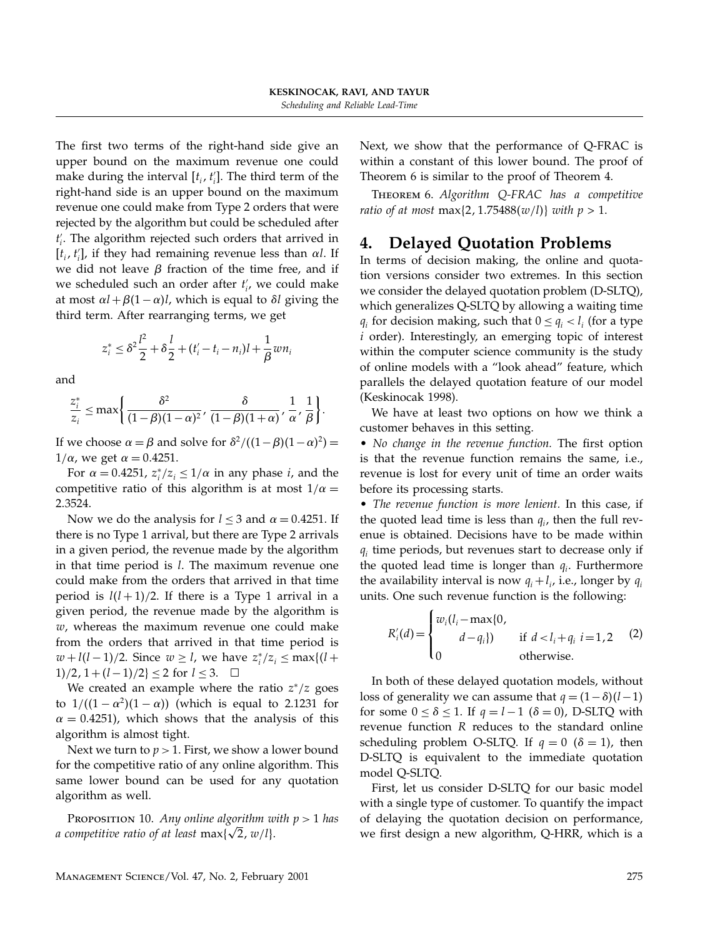The first two terms of the right-hand side give an upper bound on the maximum revenue one could make during the interval  $[t_i, t'_i]$ . The third term of the right-hand side is an upper bound on the maximum revenue one could make from Type 2 orders that were rejected by the algorithm but could be scheduled after  $t_i'$ . The algorithm rejected such orders that arrived in  $[t_i, t'_i]$ , if they had remaining revenue less than  $\alpha l$ . If we did not leave  $\beta$  fraction of the time free, and if we scheduled such an order after  $t_i'$ , we could make at most  $\alpha l + \beta(1-\alpha)l$ , which is equal to  $\delta l$  giving the third term. After rearranging terms, we get

$$
z_i^* \le \delta^2 \frac{l^2}{2} + \delta \frac{l}{2} + (t_i' - t_i - n_i)l + \frac{1}{\beta} w n_i
$$

and

$$
\frac{z_i^*}{z_i} \le \max\left\{\frac{\delta^2}{(1-\beta)(1-\alpha)^2}, \frac{\delta}{(1-\beta)(1+\alpha)}, \frac{1}{\alpha}, \frac{1}{\beta}\right\}.
$$

If we choose  $\alpha = \beta$  and solve for  $\delta^2/((1-\beta)(1-\alpha)^2)$  =  $1/\alpha$ , we get  $\alpha = 0.4251$ .

For  $\alpha = 0.4251$ ,  $z_i^*/z_i \leq 1/\alpha$  in any phase *i*, and the competitive ratio of this algorithm is at most  $1/\alpha =$ 23524.

Now we do the analysis for  $l \leq 3$  and  $\alpha = 0.4251$ . If there is no Type 1 arrival, but there are Type 2 arrivals in a given period, the revenue made by the algorithm in that time period is l. The maximum revenue one could make from the orders that arrived in that time period is  $l(l + 1)/2$ . If there is a Type 1 arrival in a given period, the revenue made by the algorithm is  $w$ , whereas the maximum revenue one could make from the orders that arrived in that time period is  $w + l(l-1)/2$ . Since  $w \geq l$ , we have  $z_i^*/z_i \leq \max\{l+1\}$ 1)/2, 1 +  $(l-1)/2$ } ≤ 2 for  $l \le 3$ . □

We created an example where the ratio  $z^*/z$  goes to  $1/((1 - \alpha^2)(1 - \alpha))$  (which is equal to 2.1231 for  $\alpha = 0.4251$ ), which shows that the analysis of this algorithm is almost tight.

Next we turn to  $p > 1$ . First, we show a lower bound for the competitive ratio of any online algorithm. This same lower bound can be used for any quotation algorithm as well.

PROPOSITION 10. Any online algorithm with  $p > 1$  has a competitive ratio of at least  $\max{\{\sqrt{2}, w/l\}}$ .

Next, we show that the performance of Q-FRAC is within a constant of this lower bound. The proof of Theorem 6 is similar to the proof of Theorem 4.

Theorem 6. Algorithm Q-FRAC has a competitive ratio of at most max $\{2, 1.75488(w/l)\}\$  with  $p > 1$ .

# 4. Delayed Quotation Problems

In terms of decision making, the online and quotation versions consider two extremes. In this section we consider the delayed quotation problem (D-SLTQ), which generalizes Q-SLTQ by allowing a waiting time  $q_i$  for decision making, such that  $0 \leq q_i < l_i$  (for a type i order). Interestingly, an emerging topic of interest within the computer science community is the study of online models with a "look ahead" feature, which parallels the delayed quotation feature of our model (Keskinocak 1998).

We have at least two options on how we think a customer behaves in this setting.

• No change in the revenue function. The first option is that the revenue function remains the same, i.e., revenue is lost for every unit of time an order waits before its processing starts.

• The revenue function is more lenient. In this case, if the quoted lead time is less than  $q_i$ , then the full revenue is obtained. Decisions have to be made within  $q_i$  time periods, but revenues start to decrease only if the quoted lead time is longer than  $q_i$ . Furthermore the availability interval is now  $q_i + l_i$ , i.e., longer by  $q_i$ units. One such revenue function is the following:

$$
R'_{i}(d) = \begin{cases} w_{i}(l_{i} - \max\{0, \\ d - q_{i}\}) & \text{if } d < l_{i} + q_{i} \ i = 1, 2 \\ 0 & \text{otherwise.} \end{cases}
$$
 (2)

In both of these delayed quotation models, without loss of generality we can assume that  $q = (1 - \delta)(l-1)$ for some  $0 \le \delta \le 1$ . If  $q = l - 1$  ( $\delta = 0$ ), D-SLTQ with revenue function R reduces to the standard online scheduling problem O-SLTQ. If  $q = 0$  ( $\delta = 1$ ), then D-SLTQ is equivalent to the immediate quotation model Q-SLTQ.

First, let us consider D-SLTQ for our basic model with a single type of customer. To quantify the impact of delaying the quotation decision on performance, we first design a new algorithm, Q-HRR, which is a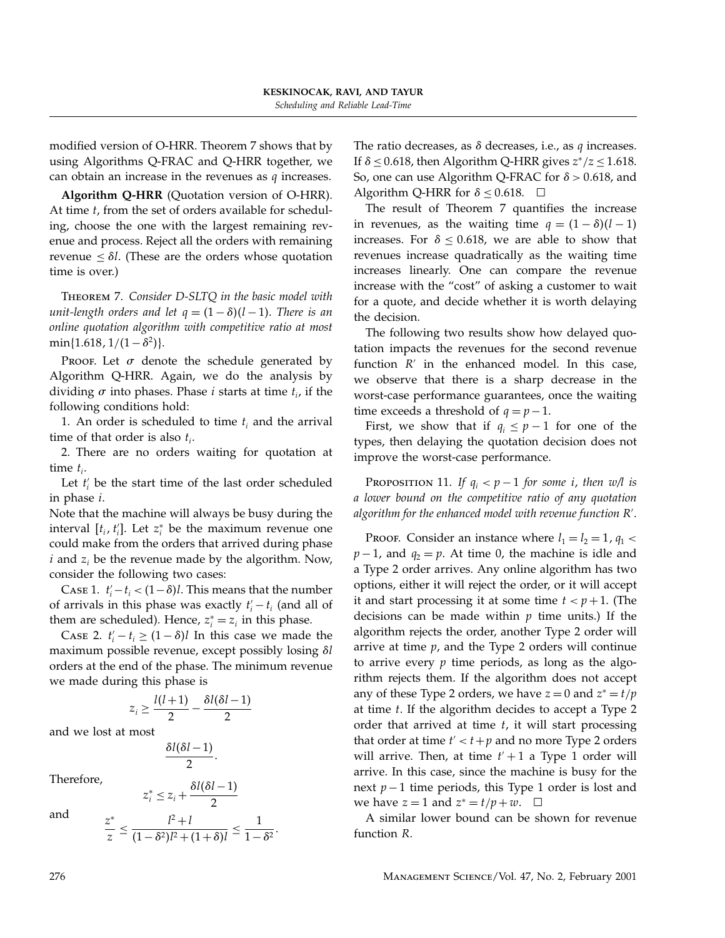modified version of O-HRR. Theorem 7 shows that by using Algorithms Q-FRAC and Q-HRR together, we can obtain an increase in the revenues as  $q$  increases.

Algorithm Q-HRR (Quotation version of O-HRR). At time t, from the set of orders available for scheduling, choose the one with the largest remaining revenue and process. Reject all the orders with remaining revenue  $\leq \delta l$ . (These are the orders whose quotation time is over.)

Theorem 7. Consider D-SLTQ in the basic model with unit-length orders and let  $q = (1 - \delta)(l - 1)$ . There is an online quotation algorithm with competitive ratio at most  $min{1.618, 1/(1 - \delta^2)}.$ 

PROOF. Let  $\sigma$  denote the schedule generated by Algorithm Q-HRR. Again, we do the analysis by dividing  $\sigma$  into phases. Phase *i* starts at time  $t_i$ , if the following conditions hold:

1. An order is scheduled to time  $t_i$  and the arrival time of that order is also  $t_i$ .

2. There are no orders waiting for quotation at time  $t_i$ .

Let  $t_i'$  be the start time of the last order scheduled in phase i.

Note that the machine will always be busy during the interval  $[t_i, t'_i]$ . Let  $z_i^*$  be the maximum revenue one could make from the orders that arrived during phase  $i$  and  $z_i$  be the revenue made by the algorithm. Now, consider the following two cases:

CASE 1.  $t'_i - t_i < (1 - \delta)l$ . This means that the number of arrivals in this phase was exactly  $t'_{i} - t_{i}$  (and all of them are scheduled). Hence,  $z_i^* = z_i$  in this phase.

Case 2.  $t'_i - t_i \ge (1 - \delta)l$  In this case we made the maximum possible revenue, except possibly losing  $\delta l$ orders at the end of the phase. The minimum revenue we made during this phase is

$$
z_i \geq \frac{l(l+1)}{2} - \frac{\delta l(\delta l -1)}{2}
$$

and we lost at most

$$
\frac{\delta l(\delta l-1)}{2}.
$$

Therefore,

and

$$
z_i^* \le z_i + \frac{\delta l(\delta l - 1)}{2}
$$

$$
\frac{z^*}{z} \le \frac{l^2 + l}{(1 - \delta^2)l^2 + (1 + \delta)l} \le \frac{1}{1 - \delta^2}.
$$

The ratio decreases, as  $\delta$  decreases, i.e., as q increases. If  $\delta \leq 0.618$ , then Algorithm Q-HRR gives  $z^*/z \leq 1.618$ . So, one can use Algorithm Q-FRAC for  $\delta > 0.618$ , and Algorithm Q-HRR for  $\delta \leq 0.618$ .  $\Box$ 

The result of Theorem 7 quantifies the increase in revenues, as the waiting time  $q = (1 - \delta)(l - 1)$ increases. For  $\delta \leq 0.618$ , we are able to show that revenues increase quadratically as the waiting time increases linearly. One can compare the revenue increase with the "cost" of asking a customer to wait for a quote, and decide whether it is worth delaying the decision.

The following two results show how delayed quotation impacts the revenues for the second revenue function  $R'$  in the enhanced model. In this case, we observe that there is a sharp decrease in the worst-case performance guarantees, once the waiting time exceeds a threshold of  $q = p - 1$ .

First, we show that if  $q_i \leq p-1$  for one of the types, then delaying the quotation decision does not improve the worst-case performance.

PROPOSITION 11. If  $q_i < p-1$  for some i, then w/l is a lower bound on the competitive ratio of any quotation algorithm for the enhanced model with revenue function R .

Proof. Consider an instance where  $l_1 = l_2 = 1$ ,  $q_1$  <  $p-1$ , and  $q_2 = p$ . At time 0, the machine is idle and a Type 2 order arrives. Any online algorithm has two options, either it will reject the order, or it will accept it and start processing it at some time  $t < p+1$ . (The decisions can be made within  $p$  time units.) If the algorithm rejects the order, another Type 2 order will arrive at time  $p$ , and the Type 2 orders will continue to arrive every  $p$  time periods, as long as the algorithm rejects them. If the algorithm does not accept any of these Type 2 orders, we have  $z = 0$  and  $z^* = t/p$ at time  $t$ . If the algorithm decides to accept a Type 2 order that arrived at time  $t$ , it will start processing that order at time  $t' < t + p$  and no more Type 2 orders will arrive. Then, at time  $t' + 1$  a Type 1 order will arrive. In this case, since the machine is busy for the next  $p-1$  time periods, this Type 1 order is lost and we have  $z = 1$  and  $z^* = t/p + w$ .  $\Box$ 

A similar lower bound can be shown for revenue function R.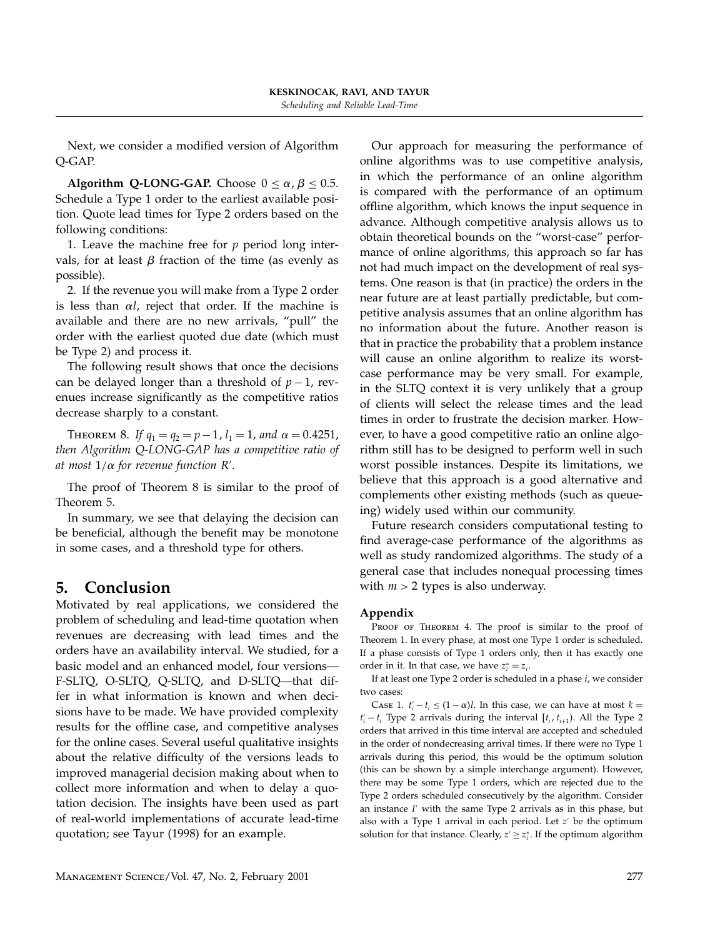Next, we consider a modified version of Algorithm Q-GAP.

Algorithm Q-LONG-GAP. Choose  $0 \le \alpha$ ,  $\beta \le 0.5$ . Schedule a Type 1 order to the earliest available position. Quote lead times for Type 2 orders based on the following conditions:

1. Leave the machine free for  $p$  period long intervals, for at least  $\beta$  fraction of the time (as evenly as possible).

2. If the revenue you will make from a Type 2 order is less than  $\alpha l$ , reject that order. If the machine is available and there are no new arrivals, "pull" the order with the earliest quoted due date (which must be Type 2) and process it.

The following result shows that once the decisions can be delayed longer than a threshold of  $p-1$ , revenues increase significantly as the competitive ratios decrease sharply to a constant.

THEOREM 8. If  $q_1 = q_2 = p-1$ ,  $l_1 = 1$ , and  $\alpha = 0.4251$ , then Algorithm Q-LONG-GAP has a competitive ratio of at most  $1/\alpha$  for revenue function R'.

The proof of Theorem 8 is similar to the proof of Theorem 5.

In summary, we see that delaying the decision can be beneficial, although the benefit may be monotone in some cases, and a threshold type for others.

# 5. Conclusion

Motivated by real applications, we considered the problem of scheduling and lead-time quotation when revenues are decreasing with lead times and the orders have an availability interval. We studied, for a basic model and an enhanced model, four versions— F-SLTQ, O-SLTQ, Q-SLTQ, and D-SLTQ—that differ in what information is known and when decisions have to be made. We have provided complexity results for the offline case, and competitive analyses for the online cases. Several useful qualitative insights about the relative difficulty of the versions leads to improved managerial decision making about when to collect more information and when to delay a quotation decision. The insights have been used as part of real-world implementations of accurate lead-time quotation; see Tayur (1998) for an example.

Our approach for measuring the performance of online algorithms was to use competitive analysis, in which the performance of an online algorithm is compared with the performance of an optimum offline algorithm, which knows the input sequence in advance. Although competitive analysis allows us to obtain theoretical bounds on the "worst-case" performance of online algorithms, this approach so far has not had much impact on the development of real systems. One reason is that (in practice) the orders in the near future are at least partially predictable, but competitive analysis assumes that an online algorithm has no information about the future. Another reason is that in practice the probability that a problem instance will cause an online algorithm to realize its worstcase performance may be very small. For example, in the SLTQ context it is very unlikely that a group of clients will select the release times and the lead times in order to frustrate the decision marker. However, to have a good competitive ratio an online algorithm still has to be designed to perform well in such worst possible instances. Despite its limitations, we believe that this approach is a good alternative and complements other existing methods (such as queueing) widely used within our community.

Future research considers computational testing to find average-case performance of the algorithms as well as study randomized algorithms. The study of a general case that includes nonequal processing times with  $m > 2$  types is also underway.

## Appendix

PROOF OF THEOREM 4. The proof is similar to the proof of Theorem 1. In every phase, at most one Type 1 order is scheduled. If a phase consists of Type 1 orders only, then it has exactly one order in it. In that case, we have  $z_i^* = z_i$ .

If at least one Type 2 order is scheduled in a phase  $i$ , we consider two cases:

CASE 1.  $t'_{i} - t_{i} \leq (1 - \alpha)l$ . In this case, we can have at most  $k =$  $t'_{i} - t_{i}$  Type 2 arrivals during the interval  $[t_{i}, t_{i+1})$ . All the Type 2 orders that arrived in this time interval are accepted and scheduled in the order of nondecreasing arrival times. If there were no Type 1 arrivals during this period, this would be the optimum solution (this can be shown by a simple interchange argument). However, there may be some Type 1 orders, which are rejected due to the Type 2 orders scheduled consecutively by the algorithm. Consider an instance  $I'$  with the same Type 2 arrivals as in this phase, but also with a Type 1 arrival in each period. Let  $z'$  be the optimum solution for that instance. Clearly,  $z' \geq z_i^*$ . If the optimum algorithm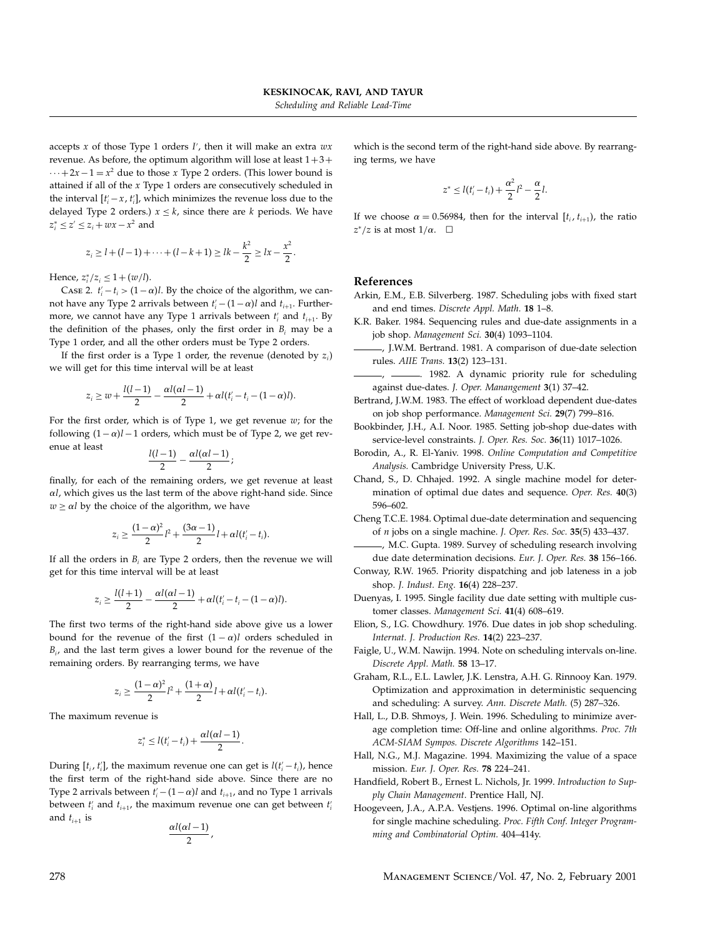accepts x of those Type 1 orders I', then it will make an extra  $wx$ revenue. As before, the optimum algorithm will lose at least  $1+3+$  $\cdots + 2x - 1 = x^2$  due to those x Type 2 orders. (This lower bound is attained if all of the x Type 1 orders are consecutively scheduled in the interval  $[t_i - x, t_i]$ , which minimizes the revenue loss due to the delayed Type 2 orders.)  $x \leq k$ , since there are k periods. We have  $z_i^* \leq z' \leq z_i + wx - x^2$  and

$$
z_i \ge l + (l-1) + \dots + (l-k+1) \ge lk - \frac{k^2}{2} \ge lx - \frac{x^2}{2}.
$$

Hence,  $z_i^*/z_i \leq 1 + (w/l)$ .

CASE 2.  $t'_{i} - t_{i} > (1 - \alpha)l$ . By the choice of the algorithm, we cannot have any Type 2 arrivals between  $t'_{i}$  –  $(1-\alpha)l$  and  $t_{i+1}$ . Furthermore, we cannot have any Type 1 arrivals between  $t_i'$  and  $t_{i+1}$ . By the definition of the phases, only the first order in  $B_i$  may be a Type 1 order, and all the other orders must be Type 2 orders.

If the first order is a Type 1 order, the revenue (denoted by  $z_i$ ) we will get for this time interval will be at least

$$
z_i \geq w + \frac{l(l-1)}{2} - \frac{\alpha l(\alpha l - 1)}{2} + \alpha l(t'_i - t_i - (1 - \alpha)l).
$$

For the first order, which is of Type 1, we get revenue  $w$ ; for the following  $(1-\alpha)l-1$  orders, which must be of Type 2, we get revenue at least

$$
\frac{l(l-1)}{2}-\frac{\alpha l(\alpha l-1)}{2};
$$

finally, for each of the remaining orders, we get revenue at least  $\alpha$ l, which gives us the last term of the above right-hand side. Since  $w \ge \alpha l$  by the choice of the algorithm, we have

$$
z_i \geq \frac{(1-\alpha)^2}{2}l^2 + \frac{(3\alpha-1)}{2}l + \alpha l(t'_i - t_i).
$$

If all the orders in  $B_i$  are Type 2 orders, then the revenue we will get for this time interval will be at least

$$
z_i \geq \frac{l(l+1)}{2} - \frac{\alpha l(\alpha l - 1)}{2} + \alpha l(t'_i - t_i - (1 - \alpha)l).
$$

The first two terms of the right-hand side above give us a lower bound for the revenue of the first  $(1 - \alpha)$  orders scheduled in  $B_{i}$ , and the last term gives a lower bound for the revenue of the remaining orders. By rearranging terms, we have

$$
z_i \geq \frac{(1-\alpha)^2}{2}l^2 + \frac{(1+\alpha)}{2}l + \alpha l(t'_i - t_i).
$$

The maximum revenue is

$$
z_i^* \leq l(t_i'-t_i)+\frac{\alpha l(\alpha l-1)}{2}.
$$

During  $[t_i, t'_i]$ , the maximum revenue one can get is  $l(t'_i - t_i)$ , hence the first term of the right-hand side above. Since there are no Type 2 arrivals between  $t'_{i}$  –  $(1-\alpha)l$  and  $t_{i+1}$ , and no Type 1 arrivals between  $t_i'$  and  $t_{i+1}$ , the maximum revenue one can get between  $t_i'$ and  $t_{i+1}$  is

$$
\frac{\alpha l(\alpha l-1)}{2},
$$

which is the second term of the right-hand side above. By rearranging terms, we have

$$
z^* \leq l(t'_i - t_i) + \frac{\alpha^2}{2}l^2 - \frac{\alpha}{2}l.
$$

If we choose  $\alpha = 0.56984$ , then for the interval  $[t_i, t_{i+1})$ , the ratio  $z^*/z$  is at most  $1/\alpha$ .  $\Box$ 

#### References

- Arkin, E.M., E.B. Silverberg. 1987. Scheduling jobs with fixed start and end times. Discrete Appl. Math. 18 1–8.
- K.R. Baker. 1984. Sequencing rules and due-date assignments in a job shop. Management Sci. 30(4) 1093–1104.
	- , J.W.M. Bertrand. 1981. A comparison of due-date selection rules. AIIE Trans. 13(2) 123–131.
	- -, 1982. A dynamic priority rule for scheduling against due-dates. J. Oper. Manangement 3(1) 37–42.
- Bertrand, J.W.M. 1983. The effect of workload dependent due-dates on job shop performance. Management Sci. 29(7) 799–816.
- Bookbinder, J.H., A.I. Noor. 1985. Setting job-shop due-dates with service-level constraints. J. Oper. Res. Soc. 36(11) 1017-1026.
- Borodin, A., R. El-Yaniv. 1998. Online Computation and Competitive Analysis. Cambridge University Press, U.K.
- Chand, S., D. Chhajed. 1992. A single machine model for determination of optimal due dates and sequence. Oper. Res. 40(3) 596–602.
- Cheng T.C.E. 1984. Optimal due-date determination and sequencing of n jobs on a single machine. J. Oper. Res. Soc. 35(5) 433–437.
- , M.C. Gupta. 1989. Survey of scheduling research involving due date determination decisions. Eur. J. Oper. Res. 38 156–166.
- Conway, R.W. 1965. Priority dispatching and job lateness in a job shop. J. Indust. Eng. 16(4) 228–237.
- Duenyas, I. 1995. Single facility due date setting with multiple customer classes. Management Sci. 41(4) 608–619.
- Elion, S., I.G. Chowdhury. 1976. Due dates in job shop scheduling. Internat. J. Production Res. 14(2) 223–237.
- Faigle, U., W.M. Nawijn. 1994. Note on scheduling intervals on-line. Discrete Appl. Math. 58 13–17.
- Graham, R.L., E.L. Lawler, J.K. Lenstra, A.H. G. Rinnooy Kan. 1979. Optimization and approximation in deterministic sequencing and scheduling: A survey. Ann. Discrete Math. (5) 287–326.
- Hall, L., D.B. Shmoys, J. Wein. 1996. Scheduling to minimize average completion time: Off-line and online algorithms. Proc. 7th ACM-SIAM Sympos. Discrete Algorithms 142–151.
- Hall, N.G., M.J. Magazine. 1994. Maximizing the value of a space mission. Eur. J. Oper. Res. 78 224–241.
- Handfield, Robert B., Ernest L. Nichols, Jr. 1999. Introduction to Supply Chain Management. Prentice Hall, NJ.
- Hoogeveen, J.A., A.P.A. Vestjens. 1996. Optimal on-line algorithms for single machine scheduling. Proc. Fifth Conf. Integer Programming and Combinatorial Optim. 404–414y.